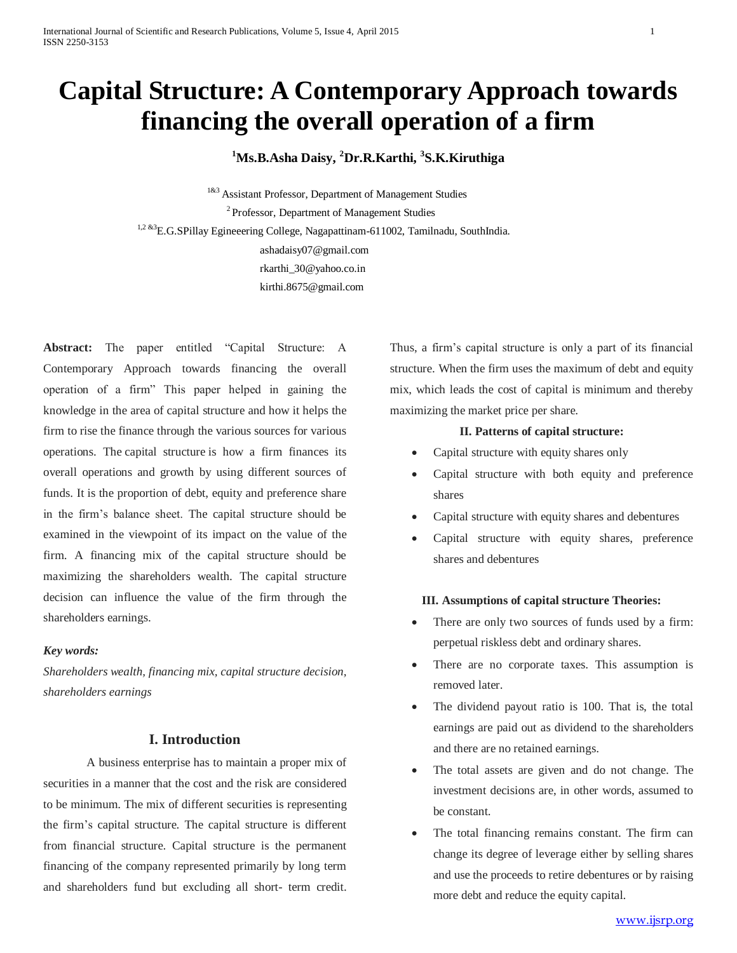# **Capital Structure: A Contemporary Approach towards financing the overall operation of a firm**

# **<sup>1</sup>Ms.B.Asha Daisy, <sup>2</sup>Dr.R.Karthi, <sup>3</sup> S.K.Kiruthiga**

1&3 Assistant Professor, Department of Management Studies <sup>2</sup> Professor, Department of Management Studies 1,2 &3E.G.SPillay Egineeering College, Nagapattinam-611002, Tamilnadu, SouthIndia. ashadaisy07@gmail.com [rkarthi\\_30@yahoo.co.in](mailto:rkarthi_30@yahoo.co.in) kirthi.8675@gmail.com

**Abstract:** The paper entitled "Capital Structure: A Contemporary Approach towards financing the overall operation of a firm" This paper helped in gaining the knowledge in the area of capital structure and how it helps the firm to rise the finance through the various sources for various operations. The capital structure is how a firm finances its overall operations and growth by using different sources of funds. It is the proportion of debt, equity and preference share in the firm's balance sheet. The capital structure should be examined in the viewpoint of its impact on the value of the firm. A financing mix of the capital structure should be maximizing the shareholders wealth. The capital structure decision can influence the value of the firm through the shareholders earnings.

# *Key words:*

*Shareholders wealth, financing mix, capital structure decision, shareholders earnings*

# **I. Introduction**

A business enterprise has to maintain a proper mix of securities in a manner that the cost and the risk are considered to be minimum. The mix of different securities is representing the firm's capital structure. The capital structure is different from financial structure. Capital structure is the permanent financing of the company represented primarily by long term and shareholders fund but excluding all short- term credit. Thus, a firm's capital structure is only a part of its financial structure. When the firm uses the maximum of debt and equity mix, which leads the cost of capital is minimum and thereby maximizing the market price per share.

### **II. Patterns of capital structure:**

- Capital structure with equity shares only
- Capital structure with both equity and preference shares
- Capital structure with equity shares and debentures
- Capital structure with equity shares, preference shares and debentures

# **III. Assumptions of capital structure Theories:**

- There are only two sources of funds used by a firm: perpetual riskless debt and ordinary shares.
- There are no corporate taxes. This assumption is removed later.
- The dividend payout ratio is 100. That is, the total earnings are paid out as dividend to the shareholders and there are no retained earnings.
- The total assets are given and do not change. The investment decisions are, in other words, assumed to be constant.
- The total financing remains constant. The firm can change its degree of leverage either by selling shares and use the proceeds to retire debentures or by raising more debt and reduce the equity capital.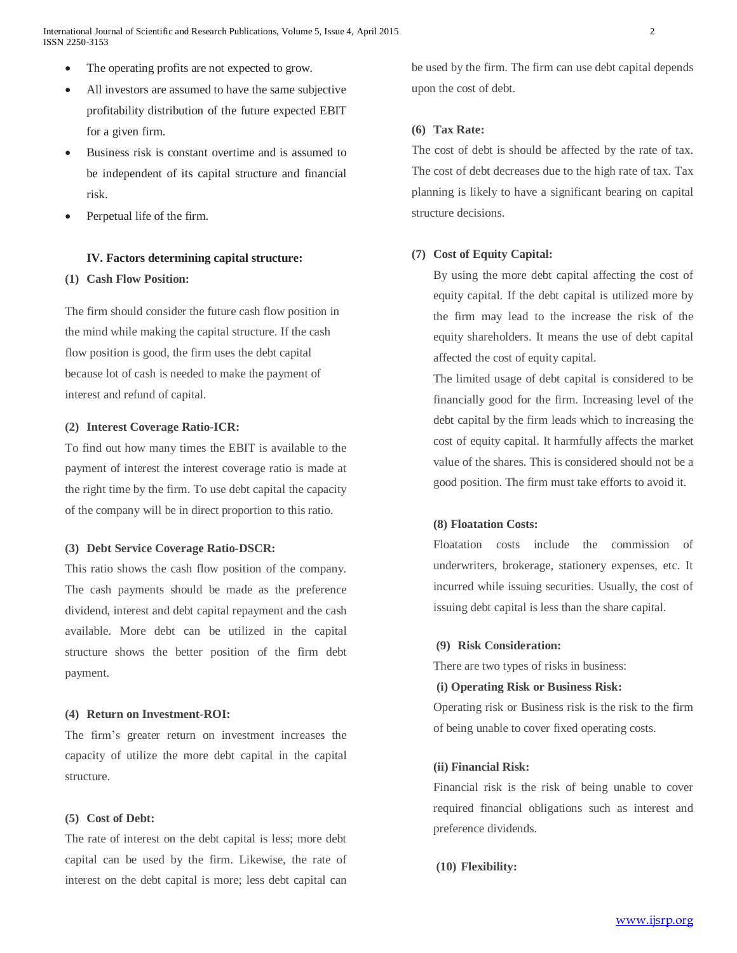- The operating profits are not expected to grow.
- All investors are assumed to have the same subjective profitability distribution of the future expected EBIT for a given firm.
- Business risk is constant overtime and is assumed to be independent of its capital structure and financial risk.
- Perpetual life of the firm.

# **IV. Factors determining capital structure:**

# **(1) Cash Flow Position:**

The firm should consider the future cash flow position in the mind while making the capital structure. If the cash flow position is good, the firm uses the debt capital because lot of cash is needed to make the payment of interest and refund of capital.

#### **(2) Interest Coverage Ratio-ICR:**

To find out how many times the EBIT is available to the payment of interest the interest coverage ratio is made at the right time by the firm. To use debt capital the capacity of the company will be in direct proportion to this ratio.

#### **(3) Debt Service Coverage Ratio-DSCR:**

This ratio shows the cash flow position of the company. The cash payments should be made as the preference dividend, interest and debt capital repayment and the cash available. More debt can be utilized in the capital structure shows the better position of the firm debt payment.

#### **(4) Return on Investment-ROI:**

The firm's greater return on investment increases the capacity of utilize the more debt capital in the capital structure.

#### **(5) Cost of Debt:**

The rate of interest on the debt capital is less; more debt capital can be used by the firm. Likewise, the rate of interest on the debt capital is more; less debt capital can

be used by the firm. The firm can use debt capital depends upon the cost of debt.

# **(6) Tax Rate:**

The cost of debt is should be affected by the rate of tax. The cost of debt decreases due to the high rate of tax. Tax planning is likely to have a significant bearing on capital structure decisions.

## **(7) Cost of Equity Capital:**

By using the more debt capital affecting the cost of equity capital. If the debt capital is utilized more by the firm may lead to the increase the risk of the equity shareholders. It means the use of debt capital affected the cost of equity capital.

The limited usage of debt capital is considered to be financially good for the firm. Increasing level of the debt capital by the firm leads which to increasing the cost of equity capital. It harmfully affects the market value of the shares. This is considered should not be a good position. The firm must take efforts to avoid it.

# **(8) Floatation Costs:**

Floatation costs include the commission of underwriters, brokerage, stationery expenses, etc. It incurred while issuing securities. Usually, the cost of issuing debt capital is less than the share capital.

#### **(9) Risk Consideration:**

There are two types of risks in business:

# **(i) Operating Risk or Business Risk:**

Operating risk or Business risk is the risk to the firm of being unable to cover fixed operating costs.

# **(ii) Financial Risk:**

Financial risk is the risk of being unable to cover required financial obligations such as interest and preference dividends.

**(10) Flexibility:**